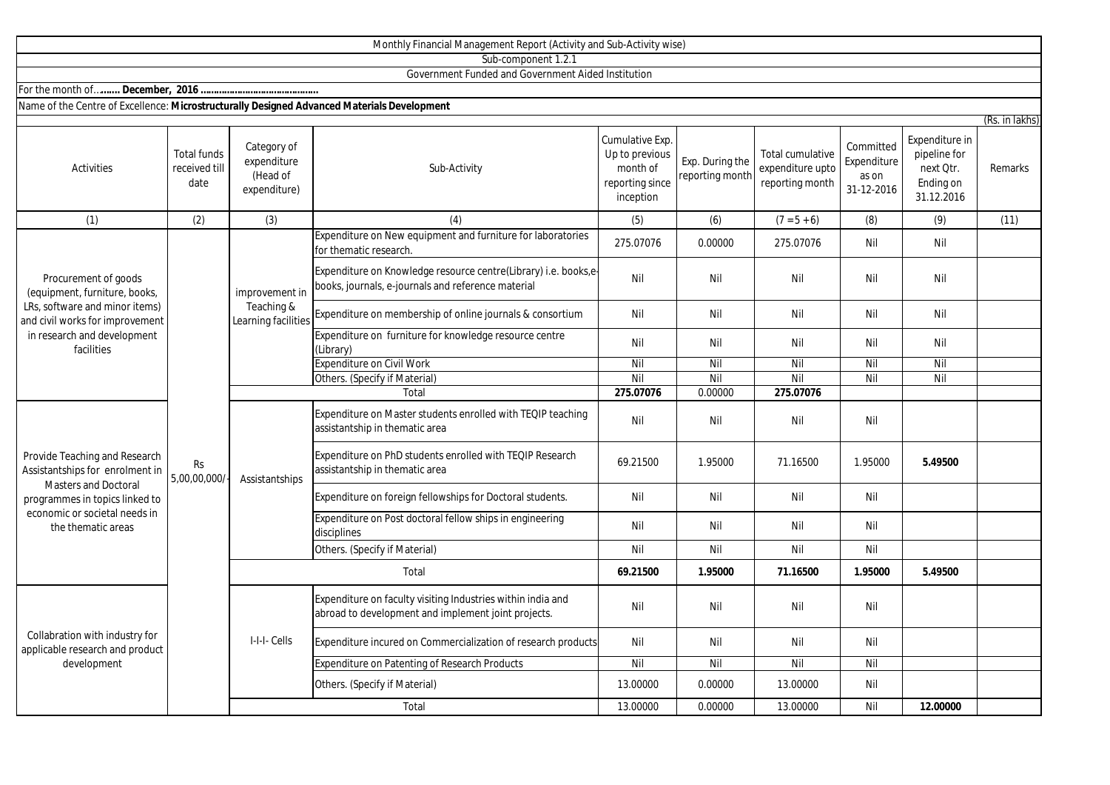| Sub-component 1.2.1                                                                                                                                                                      |                                             |                                                        |                                                                                                                       |                                                                               |                                    |                                                         |                                                 |                                                                        |         |  |
|------------------------------------------------------------------------------------------------------------------------------------------------------------------------------------------|---------------------------------------------|--------------------------------------------------------|-----------------------------------------------------------------------------------------------------------------------|-------------------------------------------------------------------------------|------------------------------------|---------------------------------------------------------|-------------------------------------------------|------------------------------------------------------------------------|---------|--|
|                                                                                                                                                                                          |                                             |                                                        | Government Funded and Government Aided Institution                                                                    |                                                                               |                                    |                                                         |                                                 |                                                                        |         |  |
|                                                                                                                                                                                          |                                             |                                                        |                                                                                                                       |                                                                               |                                    |                                                         |                                                 |                                                                        |         |  |
| Name of the Centre of Excellence: Microstructurally Designed Advanced Materials Development<br>(Rs. in lakhs)                                                                            |                                             |                                                        |                                                                                                                       |                                                                               |                                    |                                                         |                                                 |                                                                        |         |  |
| <b>Activities</b>                                                                                                                                                                        | <b>Total funds</b><br>received till<br>date | Category of<br>expenditure<br>(Head of<br>expenditure) | Sub-Activity                                                                                                          | Cumulative Exp.<br>Up to previous<br>month of<br>reporting since<br>inception | Exp. During the<br>reporting month | Total cumulative<br>expenditure upto<br>reporting month | Committed<br>Expenditure<br>as on<br>31-12-2016 | Expenditure in<br>pipeline for<br>next Otr.<br>Ending on<br>31.12.2016 | Remarks |  |
| (1)                                                                                                                                                                                      | (2)                                         | (3)                                                    | (4)                                                                                                                   | (5)                                                                           | (6)                                | $(7 = 5 + 6)$                                           | (8)                                             | (9)                                                                    | (11)    |  |
| Procurement of goods<br>(equipment, furniture, books,<br>LRs, software and minor items)<br>and civil works for improvement<br>in research and development<br>facilities                  | <b>Rs</b><br>5,00,00,000/                   | improvement in<br>Teaching &<br>Learning facilities    | Expenditure on New equipment and furniture for laboratories<br>for thematic research.                                 | 275.07076                                                                     | 0.00000                            | 275.07076                                               | Nil                                             | Nil                                                                    |         |  |
|                                                                                                                                                                                          |                                             |                                                        | Expenditure on Knowledge resource centre(Library) i.e. books,e-<br>books, journals, e-journals and reference material | Nil                                                                           | Nil                                | Nil                                                     | Nil                                             | Nil                                                                    |         |  |
|                                                                                                                                                                                          |                                             |                                                        | Expenditure on membership of online journals & consortium                                                             | Nil                                                                           | Nil                                | Nil                                                     | Nil                                             | Nil                                                                    |         |  |
|                                                                                                                                                                                          |                                             |                                                        | Expenditure on furniture for knowledge resource centre<br>(Library)                                                   | Nil                                                                           | Nil                                | Nil                                                     | Nil                                             | Nil                                                                    |         |  |
|                                                                                                                                                                                          |                                             |                                                        | <b>Expenditure on Civil Work</b>                                                                                      | Nil                                                                           | Nil                                | Nil                                                     | Nil                                             | Nil                                                                    |         |  |
|                                                                                                                                                                                          |                                             |                                                        | Others. (Specify if Material)                                                                                         | Nil                                                                           | Nil                                | Nil                                                     | Nil                                             | Nil                                                                    |         |  |
|                                                                                                                                                                                          |                                             |                                                        | Total                                                                                                                 | 275.07076                                                                     | 0.00000                            | 275.07076                                               |                                                 |                                                                        |         |  |
| Provide Teaching and Research<br>Assistantships for enrolment in<br><b>Masters and Doctoral</b><br>programmes in topics linked to<br>economic or societal needs in<br>the thematic areas |                                             | Assistantships                                         | Expenditure on Master students enrolled with TEQIP teaching<br>assistantship in thematic area                         | Nil                                                                           | Nil                                | Nil                                                     | Nil                                             |                                                                        |         |  |
|                                                                                                                                                                                          |                                             |                                                        | Expenditure on PhD students enrolled with TEQIP Research<br>assistantship in thematic area                            | 69.21500                                                                      | 1.95000                            | 71.16500                                                | 1.95000                                         | 5.49500                                                                |         |  |
|                                                                                                                                                                                          |                                             |                                                        | Expenditure on foreign fellowships for Doctoral students.                                                             | Nil                                                                           | Nil                                | Nil                                                     | Nil                                             |                                                                        |         |  |
|                                                                                                                                                                                          |                                             |                                                        | Expenditure on Post doctoral fellow ships in engineering<br>disciplines                                               | Nil                                                                           | Nil                                | Nil                                                     | Nil                                             |                                                                        |         |  |
|                                                                                                                                                                                          |                                             |                                                        | Others. (Specify if Material)                                                                                         | Nil                                                                           | Nil                                | Nil                                                     | Nil                                             |                                                                        |         |  |
|                                                                                                                                                                                          |                                             | Total                                                  |                                                                                                                       | 69.21500                                                                      | 1.95000                            | 71.16500                                                | 1.95000                                         | 5.49500                                                                |         |  |
| Collabration with industry for<br>applicable research and product<br>development                                                                                                         |                                             | I-I-I-Cells                                            | Expenditure on faculty visiting Industries within india and<br>abroad to development and implement joint projects.    | Nil                                                                           | Nil                                | Nil                                                     | Nil                                             |                                                                        |         |  |
|                                                                                                                                                                                          |                                             |                                                        | Expenditure incured on Commercialization of research products                                                         | Nil                                                                           | Nil                                | Nil                                                     | Nil                                             |                                                                        |         |  |
|                                                                                                                                                                                          |                                             |                                                        | Expenditure on Patenting of Research Products                                                                         | Nil                                                                           | Nil                                | Nil                                                     | Nil                                             |                                                                        |         |  |
|                                                                                                                                                                                          |                                             |                                                        | Others. (Specify if Material)                                                                                         | 13.00000                                                                      | 0.00000                            | 13.00000                                                | Nil                                             |                                                                        |         |  |

**Total** 

Monthly Financial Management Report (Activity and Sub-Activity wise)

13.00000 0.00000 13.00000 Nil **12.00000**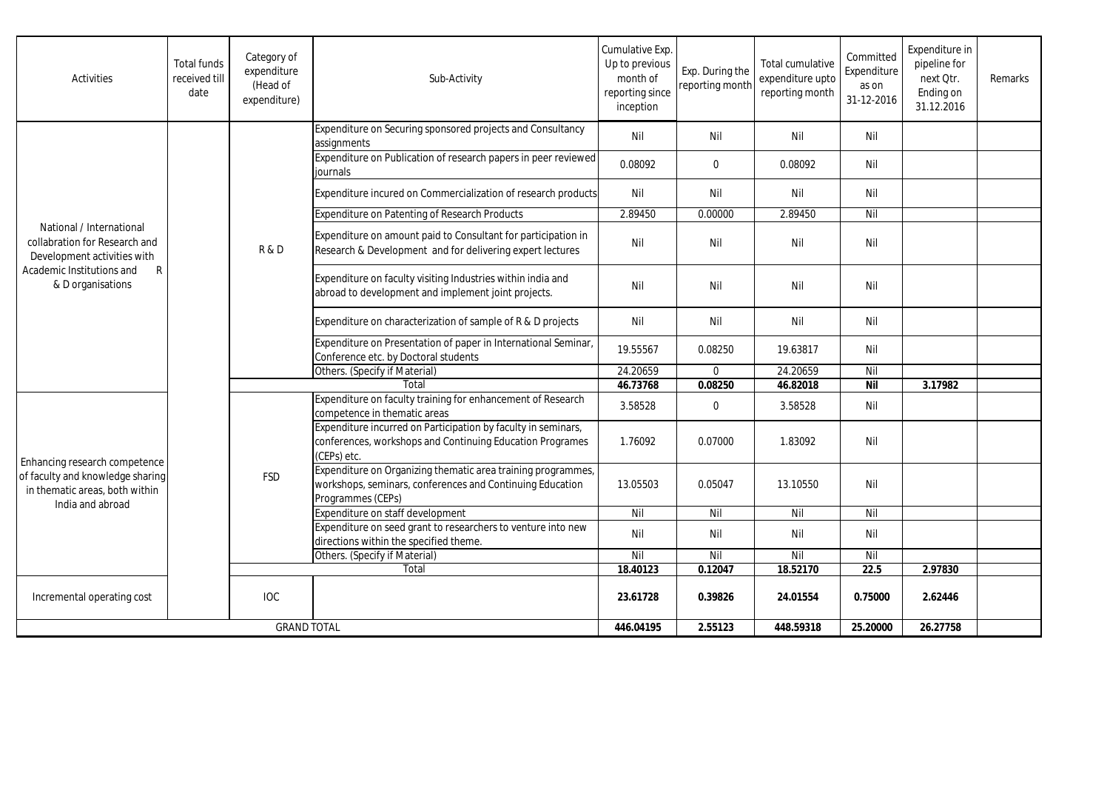| Activities                                                                                                                                      | <b>Total funds</b><br>received till<br>date | Category of<br>expenditure<br>(Head of<br>expenditure) | Sub-Activity                                                                                                                                   | Cumulative Exp.<br>Up to previous<br>month of<br>reporting since<br>inception | Exp. During the<br>reporting month | Total cumulative<br>expenditure upto<br>reporting month | Committed<br>Expenditure<br>as on<br>31-12-2016 | Expenditure in<br>pipeline for<br>next Otr.<br>Ending on<br>31.12.2016 | Remarks |
|-------------------------------------------------------------------------------------------------------------------------------------------------|---------------------------------------------|--------------------------------------------------------|------------------------------------------------------------------------------------------------------------------------------------------------|-------------------------------------------------------------------------------|------------------------------------|---------------------------------------------------------|-------------------------------------------------|------------------------------------------------------------------------|---------|
| National / International<br>collabration for Research and<br>Development activities with<br>Academic Institutions and<br>R<br>& D organisations |                                             | R&D                                                    | Expenditure on Securing sponsored projects and Consultancy<br>assignments                                                                      | Nil                                                                           | Nil                                | Nil                                                     | Nil                                             |                                                                        |         |
|                                                                                                                                                 |                                             |                                                        | Expenditure on Publication of research papers in peer reviewed<br>iournals                                                                     | 0.08092                                                                       | $\mathbf 0$                        | 0.08092                                                 | Nil                                             |                                                                        |         |
|                                                                                                                                                 |                                             |                                                        | Expenditure incured on Commercialization of research products                                                                                  | Nil                                                                           | Nil                                | Nil                                                     | Nil                                             |                                                                        |         |
|                                                                                                                                                 |                                             |                                                        | Expenditure on Patenting of Research Products                                                                                                  | 2.89450                                                                       | 0.00000                            | 2.89450                                                 | Nil                                             |                                                                        |         |
|                                                                                                                                                 |                                             |                                                        | Expenditure on amount paid to Consultant for participation in<br>Research & Development and for delivering expert lectures                     | Nil                                                                           | Nil                                | Nil                                                     | Nil                                             |                                                                        |         |
|                                                                                                                                                 |                                             |                                                        | Expenditure on faculty visiting Industries within india and<br>abroad to development and implement joint projects.                             | Nil                                                                           | Nil                                | Nil                                                     | Nil                                             |                                                                        |         |
|                                                                                                                                                 |                                             |                                                        | Expenditure on characterization of sample of R & D projects                                                                                    | Nil                                                                           | Nil                                | Nil                                                     | Nil                                             |                                                                        |         |
|                                                                                                                                                 |                                             |                                                        | Expenditure on Presentation of paper in International Seminar,<br>Conference etc. by Doctoral students                                         | 19.55567                                                                      | 0.08250                            | 19.63817                                                | Nil                                             |                                                                        |         |
|                                                                                                                                                 |                                             |                                                        | Others. (Specify if Material)                                                                                                                  | 24.20659                                                                      | $\Omega$                           | 24.20659                                                | Nil                                             |                                                                        |         |
|                                                                                                                                                 |                                             |                                                        | Total                                                                                                                                          | 46.73768                                                                      | 0.08250                            | 46.82018                                                | <b>Nil</b>                                      | 3.17982                                                                |         |
| Enhancing research competence<br>of faculty and knowledge sharing<br>in thematic areas, both within<br>India and abroad                         |                                             | <b>FSD</b>                                             | Expenditure on faculty training for enhancement of Research<br>competence in thematic areas                                                    | 3.58528                                                                       | $\mathbf 0$                        | 3.58528                                                 | Nil                                             |                                                                        |         |
|                                                                                                                                                 |                                             |                                                        | Expenditure incurred on Participation by faculty in seminars,<br>conferences, workshops and Continuing Education Programes<br>(CEPs) etc.      | 1.76092                                                                       | 0.07000                            | 1.83092                                                 | Nil                                             |                                                                        |         |
|                                                                                                                                                 |                                             |                                                        | Expenditure on Organizing thematic area training programmes,<br>workshops, seminars, conferences and Continuing Education<br>Programmes (CEPs) | 13.05503                                                                      | 0.05047                            | 13.10550                                                | Nil                                             |                                                                        |         |
|                                                                                                                                                 |                                             |                                                        | Expenditure on staff development                                                                                                               | Nil                                                                           | Nil                                | Nil                                                     | Nil                                             |                                                                        |         |
|                                                                                                                                                 |                                             |                                                        | Expenditure on seed grant to researchers to venture into new<br>directions within the specified theme.                                         | Nil                                                                           | Nil                                | Nil                                                     | Nil                                             |                                                                        |         |
|                                                                                                                                                 |                                             |                                                        | Others. (Specify if Material)                                                                                                                  | Nil                                                                           | Nil                                | Nil                                                     | Nil                                             |                                                                        |         |
|                                                                                                                                                 |                                             | Total                                                  |                                                                                                                                                | 18.40123                                                                      | 0.12047                            | 18.52170                                                | 22.5                                            | 2.97830                                                                |         |
| Incremental operating cost                                                                                                                      |                                             | <b>IOC</b>                                             |                                                                                                                                                | 23.61728                                                                      | 0.39826                            | 24.01554                                                | 0.75000                                         | 2.62446                                                                |         |
| <b>GRAND TOTAL</b>                                                                                                                              |                                             |                                                        | 446.04195                                                                                                                                      | 2.55123                                                                       | 448.59318                          | 25.20000                                                | 26.27758                                        |                                                                        |         |